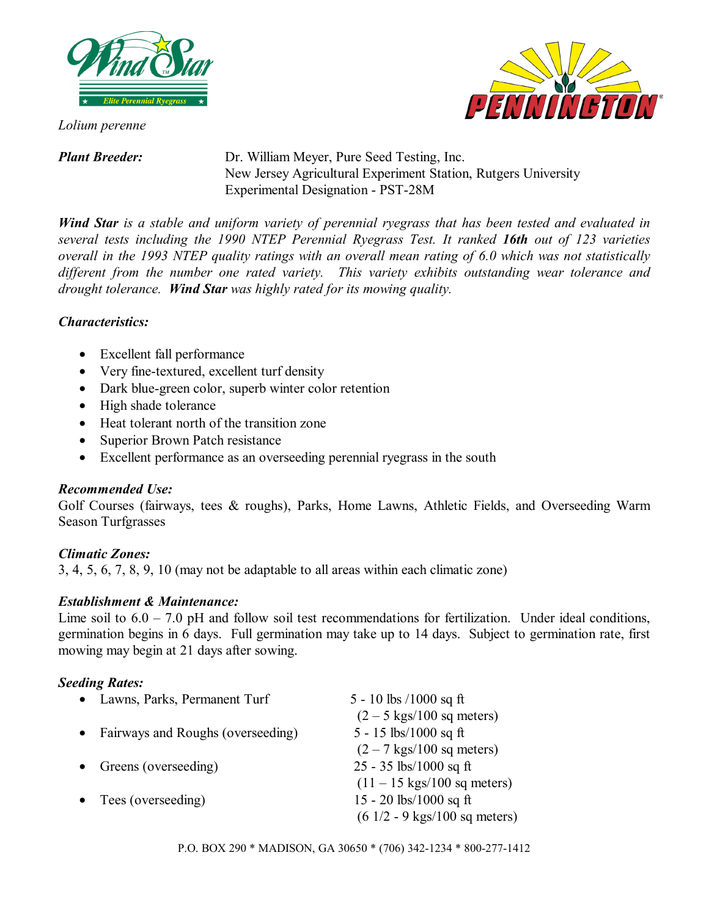

*Lolium perenne* 



*Plant Breeder:* Dr. William Meyer, Pure Seed Testing, Inc. New Jersey Agricultural Experiment Station, Rutgers University Experimental Designation - PST-28M

*Wind Star is a stable and uniform variety of perennial ryegrass that has been tested and evaluated in several tests including the 1990 NTEP Perennial Ryegrass Test. It ranked 16th out of 123 varieties overall in the 1993 NTEP quality ratings with an overall mean rating of 6.0 which was not statistically different from the number one rated variety. This variety exhibits outstanding wear tolerance and drought tolerance. Wind Star was highly rated for its mowing quality.* 

## *Characteristics:*

- Excellent fall performance
- Very fine-textured, excellent turf density
- Dark blue-green color, superb winter color retention
- High shade tolerance
- Heat tolerant north of the transition zone
- Superior Brown Patch resistance
- Excellent performance as an overseeding perennial ryegrass in the south

# *Recommended Use:*

Golf Courses (fairways, tees & roughs), Parks, Home Lawns, Athletic Fields, and Overseeding Warm Season Turfgrasses

## *Climatic Zones:*

3, 4, 5, 6, 7, 8, 9, 10 (may not be adaptable to all areas within each climatic zone)

## *Establishment & Maintenance:*

Lime soil to  $6.0 - 7.0$  pH and follow soil test recommendations for fertilization. Under ideal conditions, germination begins in 6 days. Full germination may take up to 14 days. Subject to germination rate, first mowing may begin at 21 days after sowing.

# *Seeding Rates:*

| • Lawns, Parks, Permanent Turf      | 5 - 10 lbs $/1000$ sq ft                       |
|-------------------------------------|------------------------------------------------|
|                                     | $(2 - 5$ kgs/100 sq meters)                    |
| • Fairways and Roughs (overseeding) | 5 - 15 lbs/1000 sq ft                          |
|                                     | $(2 - 7$ kgs/100 sq meters)                    |
| Greens (overseeding)                | $25 - 35$ lbs/1000 sq ft                       |
|                                     | $(11 - 15 \text{ kgs}/100 \text{ sq meters})$  |
| Tees (overseeding)                  | 15 - 20 lbs/1000 sq ft                         |
|                                     | $(61/2 - 9 \text{ kgs}/100 \text{ sq meters})$ |
|                                     |                                                |